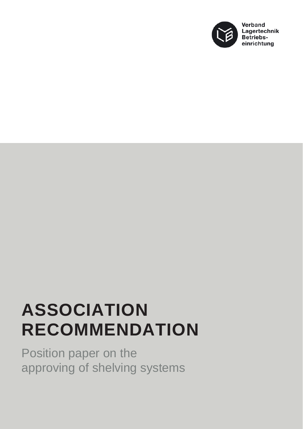

## **ASSOCIATION RECOMMENDATION**

Position paper on the approving of shelving systems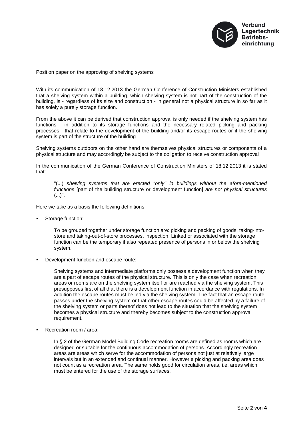

Position paper on the approving of shelving systems

With its communication of 18.12.2013 the German Conference of Construction Ministers established that a shelving system within a building, which shelving system is not part of the construction of the building, is - regardless of its size and construction - in general not a physical structure in so far as it has solely a purely storage function.

From the above it can be derived that construction approval is only needed if the shelving system has functions - in addition to its storage functions and the necessary related picking and packing processes - that relate to the development of the building and/or its escape routes or if the shelving system is part of the structure of the building

Shelving systems outdoors on the other hand are themselves physical structures or components of a physical structure and may accordingly be subject to the obligation to receive construction approval

In the communication of the German Conference of Construction Ministers of 18.12.2013 it is stated that:

"(...) *shelving systems that are erected "only" in buildings without the afore-mentioned functions* [part of the building structure or development function] *are not physical structures*  $(...)$ ".

Here we take as a basis the following definitions:

Storage function:

To be grouped together under storage function are: picking and packing of goods, taking-intostore and taking-out-of-store processes, inspection. Linked or associated with the storage function can be the temporary if also repeated presence of persons in or below the shelving system.

Development function and escape route:

Shelving systems and intermediate platforms only possess a development function when they are a part of escape routes of the physical structure. This is only the case when recreation areas or rooms are on the shelving system itself or are reached via the shelving system. This presupposes first of all that there is a development function in accordance with regulations. In addition the escape routes must be led via the shelving system. The fact that an escape route passes under the shelving system or that other escape routes could be affected by a failure of the shelving system or parts thereof does not lead to the situation that the shelving system becomes a physical structure and thereby becomes subject to the construction approval requirement.

Recreation room / area:

In § 2 of the German Model Building Code recreation rooms are defined as rooms which are designed or suitable for the continuous accommodation of persons. Accordingly recreation areas are areas which serve for the accommodation of persons not just at relatively large intervals but in an extended and continual manner. However a picking and packing area does not count as a recreation area. The same holds good for circulation areas, i.e. areas which must be entered for the use of the storage surfaces.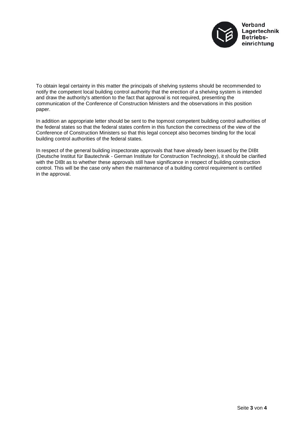

To obtain legal certainty in this matter the principals of shelving systems should be recommended to notify the competent local building control authority that the erection of a shelving system is intended and draw the authority's attention to the fact that approval is not required, presenting the communication of the Conference of Construction Ministers and the observations in this position paper.

In addition an appropriate letter should be sent to the topmost competent building control authorities of the federal states so that the federal states confirm in this function the correctness of the view of the Conference of Construction Ministers so that this legal concept also becomes binding for the local building control authorities of the federal states.

In respect of the general building inspectorate approvals that have already been issued by the DIBt (Deutsche Institut für Bautechnik - German Institute for Construction Technology), it should be clarified with the DIBt as to whether these approvals still have significance in respect of building construction control. This will be the case only when the maintenance of a building control requirement is certified in the approval.